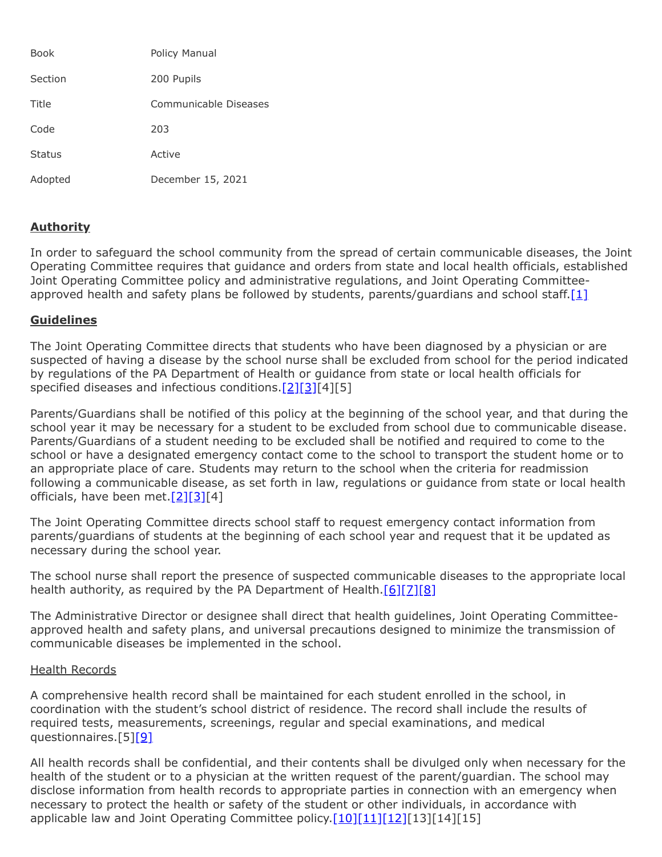| <b>Book</b>   | Policy Manual         |
|---------------|-----------------------|
| Section       | 200 Pupils            |
| Title         | Communicable Diseases |
| Code          | 203                   |
| <b>Status</b> | Active                |
| Adopted       | December 15, 2021     |

## **Authority**

In order to safeguard the school community from the spread of certain communicable diseases, the Joint Operating Committee requires that guidance and orders from state and local health officials, established Joint Operating Committee policy and administrative regulations, and Joint Operating Committeeapproved health and safety plans be followed by students, parents/guardians and school staff. $[1]$ 

## **Guidelines**

The Joint Operating Committee directs that students who have been diagnosed by a physician or are suspected of having a disease by the school nurse shall be excluded from school for the period indicated by regulations of the PA Department of Health or guidance from state or local health officials for specified diseases and infectious conditions. $[2][3][4][5]$  $[2][3][4][5]$  $[2][3][4][5]$ 

Parents/Guardians shall be notified of this policy at the beginning of the school year, and that during the school year it may be necessary for a student to be excluded from school due to communicable disease. Parents/Guardians of a student needing to be excluded shall be notified and required to come to the school or have a designated emergency contact come to the school to transport the student home or to an appropriate place of care. Students may return to the school when the criteria for readmission following a communicable disease, as set forth in law, regulations or guidance from state or local health officials, have been met. $[2][3][4]$  $[2][3][4]$  $[2][3][4]$ 

The Joint Operating Committee directs school staff to request emergency contact information from parents/guardians of students at the beginning of each school year and request that it be updated as necessary during the school year.

The school nurse shall report the presence of suspected communicable diseases to the appropriate local health authority, as required by the PA Department of Health.[\[6\]](http://pacodeandbulletin.gov/Display/pacode?file=/secure/pacode/data/028/chapter27/s27.1.html&d=reduce)[\[7\]](http://pacodeandbulletin.gov/Display/pacode?file=/secure/pacode/data/028/chapter27/s27.2.html&d=reduce)[\[8\]](http://pacodeandbulletin.gov/Display/pacode?file=/secure/pacode/data/028/chapter27/s27.23.html&d=reduce)

The Administrative Director or designee shall direct that health guidelines, Joint Operating Committeeapproved health and safety plans, and universal precautions designed to minimize the transmission of communicable diseases be implemented in the school.

## Health Records

A comprehensive health record shall be maintained for each student enrolled in the school, in coordination with the student's school district of residence. The record shall include the results of required tests, measurements, screenings, regular and special examinations, and medical questionnaires.[5[\]\[9\]](http://www.legis.state.pa.us/cfdocs/legis/LI/uconsCheck.cfm?txtType=HTM&yr=1949&sessInd=0&smthLwInd=0&act=14&chpt=14&sctn=2&subsctn=0)

All health records shall be confidential, and their contents shall be divulged only when necessary for the health of the student or to a physician at the written request of the parent/guardian. The school may disclose information from health records to appropriate parties in connection with an emergency when necessary to protect the health or safety of the student or other individuals, in accordance with applicable law and Joint Operating Committee policy.[\[10\]](http://www.legis.state.pa.us/cfdocs/legis/LI/uconsCheck.cfm?txtType=HTM&yr=1949&sessInd=0&smthLwInd=0&act=14&chpt=14&sctn=9&subsctn=0)[\[11\]](http://www.law.cornell.edu/uscode/text/20/1232g)[\[12\]](http://www.law.cornell.edu/cfr/text/34/part-99)[13][14][15]